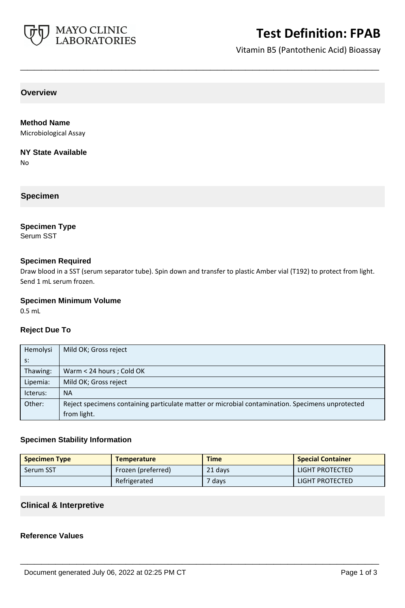

# **Test Definition: FPAB**

Vitamin B5 (Pantothenic Acid) Bioassay

**Overview**

**Method Name** Microbiological Assay

**NY State Available**

No

**Specimen**

### **Specimen Type**

Serum SST

### **Specimen Required**

Draw blood in a SST (serum separator tube). Spin down and transfer to plastic Amber vial (T192) to protect from light. Send 1 mL serum frozen.

**\_\_\_\_\_\_\_\_\_\_\_\_\_\_\_\_\_\_\_\_\_\_\_\_\_\_\_\_\_\_\_\_\_\_\_\_\_\_\_\_\_\_\_\_\_\_\_\_\_\_\_**

### **Specimen Minimum Volume**

0.5 mL

### **Reject Due To**

| Hemolysi | Mild OK; Gross reject                                                                            |  |
|----------|--------------------------------------------------------------------------------------------------|--|
| $S$ :    |                                                                                                  |  |
| Thawing: | Warm < 24 hours ; Cold OK                                                                        |  |
| Lipemia: | Mild OK; Gross reject                                                                            |  |
| Icterus: | <b>NA</b>                                                                                        |  |
| Other:   | Reject specimens containing particulate matter or microbial contamination. Specimens unprotected |  |
|          | from light.                                                                                      |  |

### **Specimen Stability Information**

| <b>Specimen Type</b> | <b>Temperature</b> | <b>Time</b> | <b>Special Container</b> |
|----------------------|--------------------|-------------|--------------------------|
| Serum SST            | Frozen (preferred) | 21 days     | LIGHT PROTECTED          |
|                      | Refrigerated       | $7$ days    | LIGHT PROTECTED          |

**\_\_\_\_\_\_\_\_\_\_\_\_\_\_\_\_\_\_\_\_\_\_\_\_\_\_\_\_\_\_\_\_\_\_\_\_\_\_\_\_\_\_\_\_\_\_\_\_\_\_\_**

## **Clinical & Interpretive**

## **Reference Values**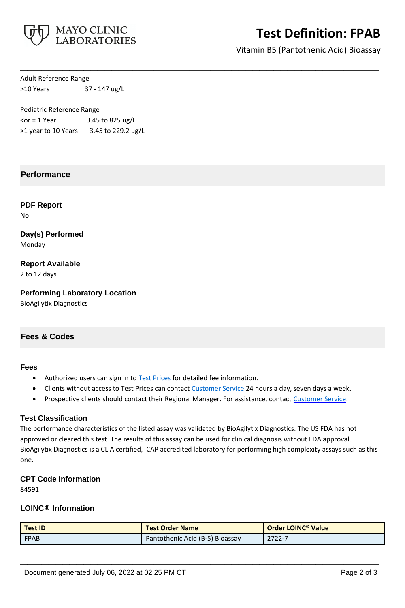

# **Test Definition: FPAB**

Vitamin B5 (Pantothenic Acid) Bioassay

Adult Reference Range >10 Years 37 - 147 ug/L

Pediatric Reference Range  $<$ or = 1 Year 3.45 to 825 ug/L >1 year to 10 Years 3.45 to 229.2 ug/L

## **Performance**

**PDF Report** No

**Day(s) Performed** Monday

**Report Available** 2 to 12 days

**Performing Laboratory Location** BioAgilytix Diagnostics

## **Fees & Codes**

#### **Fees**

- Authorized users can sign in to [Test Prices](https://www.mayocliniclabs.com/customer-service/client-price-lookup/index.html?unit_code=FPAB) for detailed fee information.
- Clients without access to Test Prices can contact [Customer Service](http://www.mayocliniclabs.com/customer-service/contacts.html) 24 hours a day, seven days a week.

**\_\_\_\_\_\_\_\_\_\_\_\_\_\_\_\_\_\_\_\_\_\_\_\_\_\_\_\_\_\_\_\_\_\_\_\_\_\_\_\_\_\_\_\_\_\_\_\_\_\_\_**

• Prospective clients should contact their Regional Manager. For assistance, contact [Customer Service.](http://www.mayocliniclabs.com/customer-service/contacts.html)

### **Test Classification**

The performance characteristics of the listed assay was validated by BioAgilytix Diagnostics. The US FDA has not approved or cleared this test. The results of this assay can be used for clinical diagnosis without FDA approval. BioAgilytix Diagnostics is a CLIA certified, CAP accredited laboratory for performing high complexity assays such as this one.

#### **CPT Code Information**

84591

## **LOINC® Information**

| <b>Test ID</b> | <b>Test Order Name</b>          | <b>Order LOINC<sup>®</sup> Value</b> |
|----------------|---------------------------------|--------------------------------------|
| <b>FPAB</b>    | Pantothenic Acid (B-5) Bioassay | 2722-7                               |

**\_\_\_\_\_\_\_\_\_\_\_\_\_\_\_\_\_\_\_\_\_\_\_\_\_\_\_\_\_\_\_\_\_\_\_\_\_\_\_\_\_\_\_\_\_\_\_\_\_\_\_**